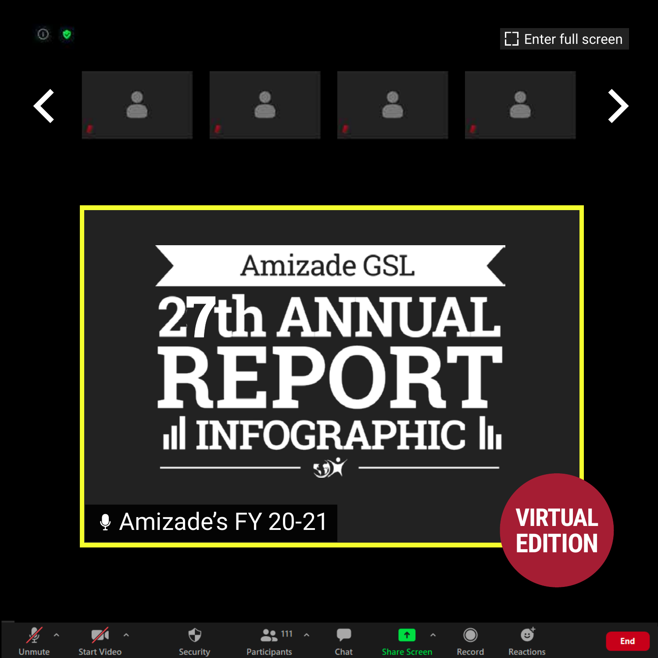

Unmute

**Start Video** 

**Security** 

**Participants** 





Chat

**Share Screen** 

Record

**Reactions** 

**End**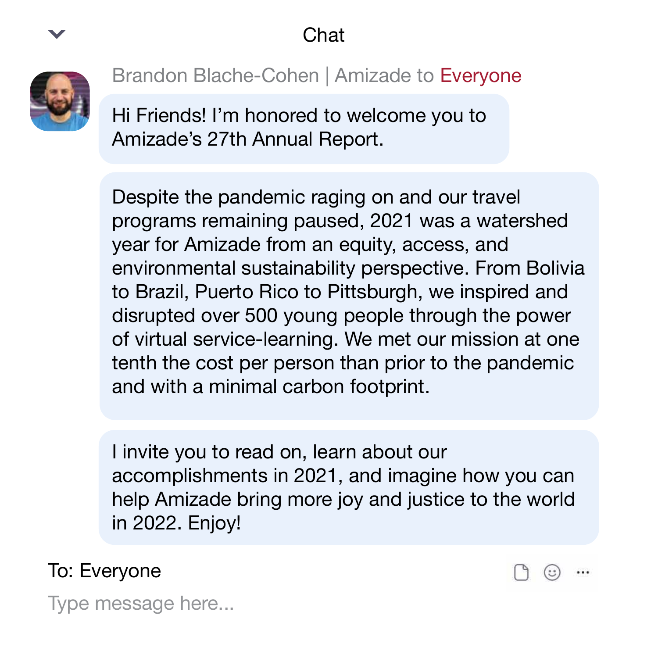Chat



Brandon Blache-Cohen | Amizade to Everyone

Hi Friends! I'm honored to welcome you to Amizade's 27th Annual Report.

Despite the pandemic raging on and our travel programs remaining paused, 2021 was a watershed year for Amizade from an equity, access, and environmental sustainability perspective. From Bolivia to Brazil, Puerto Rico to Pittsburgh, we inspired and disrupted over 500 young people through the power of virtual service-learning. We met our mission at one tenth the cost per person than prior to the pandemic and with a minimal carbon footprint.

I invite you to read on, learn about our accomplishments in 2021, and imagine how you can help Amizade bring more joy and justice to the world in 2022. Enjoy!

To: Everyone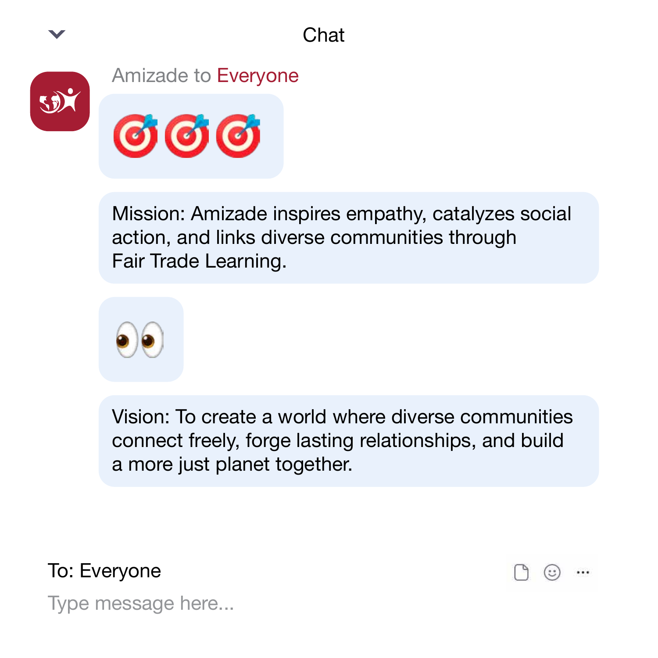Chat



#### Amizade to Everyone



Mission: Amizade inspires empathy, catalyzes social action, and links diverse communities through Fair Trade Learning.



Vision: To create a world where diverse communities connect freely, forge lasting relationships, and build a more just planet together.

(::

To: Everyone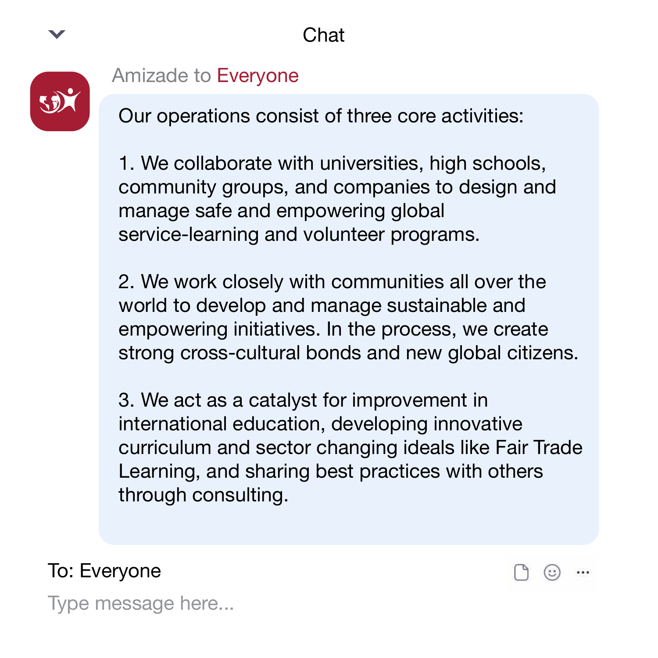

#### Amizade to Everyone

Our operations consist of three core activities:

1. We collaborate with universities, high schools, community groups, and companies to design and manage safe and empowering global service-learning and volunteer programs.

2. We work closely with communities all over the world to develop and manage sustainable and empowering initiatives. In the process, we create strong cross-cultural bonds and new global citizens.

3. We act as a catalyst for improvement in international education, developing innovative curriculum and sector changing ideals like Fair Trade Learning, and sharing best practices with others through consulting.

To: Everyone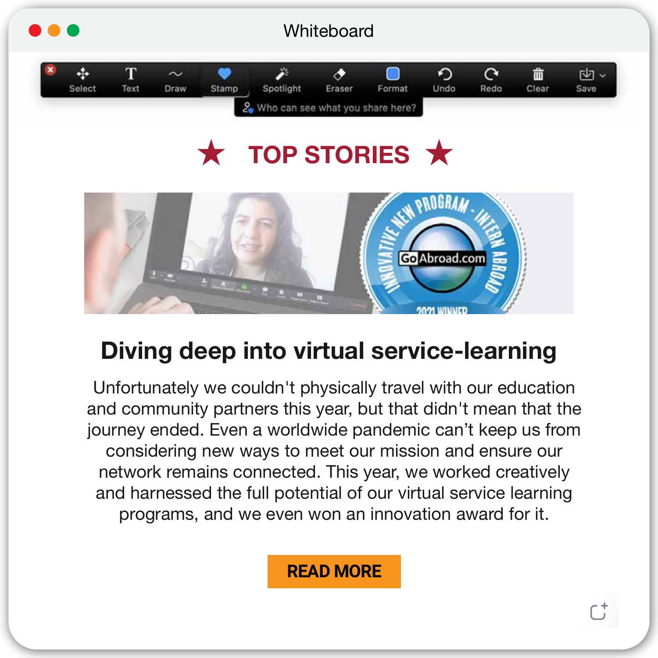

## **TOP STORIES**  $\bigstar$



#### **Diving deep into virtual service-learning**

Unfortunately we couldn't physically travel with our education and community partners this year, but that didn't mean that the journey ended. Even a worldwide pandemic can't keep us from considering new ways to meet our mission and ensure our network remains connected. This year, we worked creatively and harnessed the full potential of our virtual service learning programs, and we even won an innovation award for it.

#### **[READ MORE](https://bit.ly/3dXPAO8)**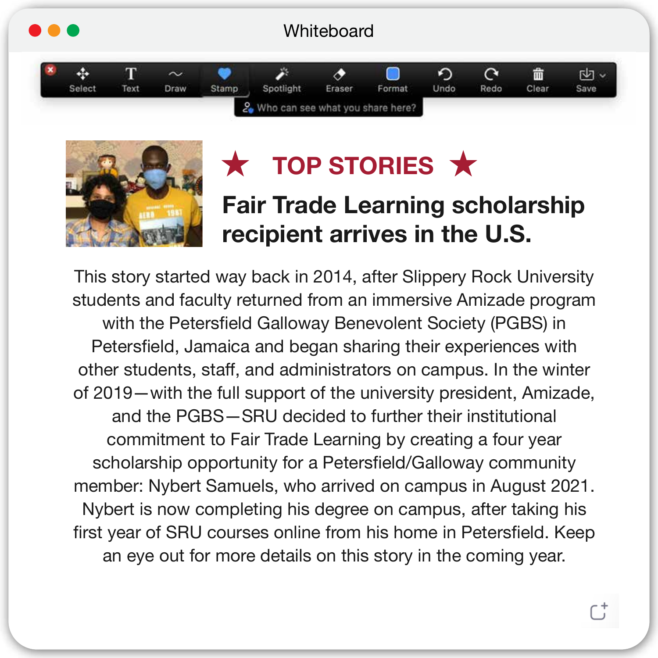



## **★ TOP STORIES ★**

#### **Fair Trade Learning scholarship recipient arrives in the U.S.**

This story started way back in 2014, after Slippery Rock University students and faculty returned from an immersive Amizade program with the Petersfield Galloway Benevolent Society (PGBS) in Petersfield, Jamaica and began sharing their experiences with other students, staff, and administrators on campus. In the winter of 2019—with the full support of the university president, Amizade, and the PGBS—SRU decided to further their institutional commitment to Fair Trade Learning by creating a four year scholarship opportunity for a Petersfield/Galloway community member: Nybert Samuels, who arrived on campus in August 2021. Nybert is now completing his degree on campus, after taking his first year of SRU courses online from his home in Petersfield. Keep an eye out for more details on this story in the coming year.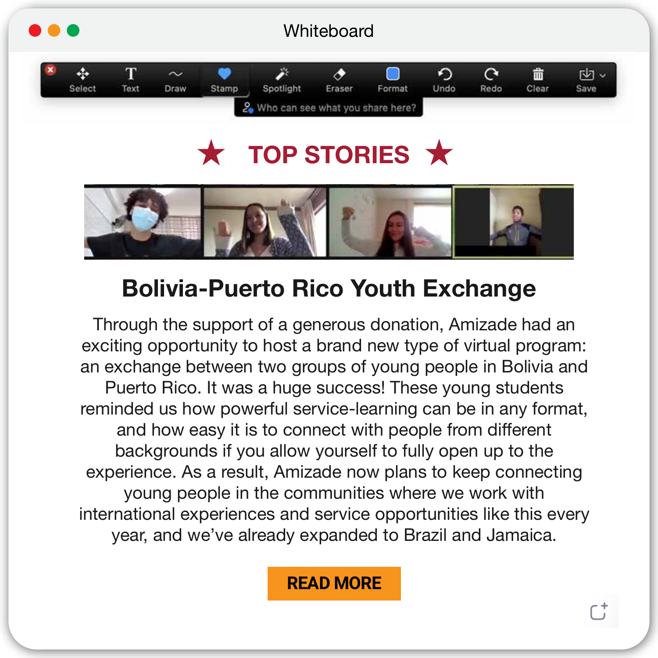

## **TOP STORIES**  $\bigstar$



#### **Bolivia-Puerto Rico Youth Exchange**

Through the support of a generous donation, Amizade had an exciting opportunity to host a brand new type of virtual program: an exchange between two groups of young people in Bolivia and Puerto Rico. It was a huge success! These young students reminded us how powerful service-learning can be in any format, and how easy it is to connect with people from different backgrounds if you allow yourself to fully open up to the experience. As a result, Amizade now plans to keep connecting young people in the communities where we work with international experiences and service opportunities like this every year, and we've already expanded to Brazil and Jamaica.

#### **[READ MORE](https://bit.ly/3CNhUxh)**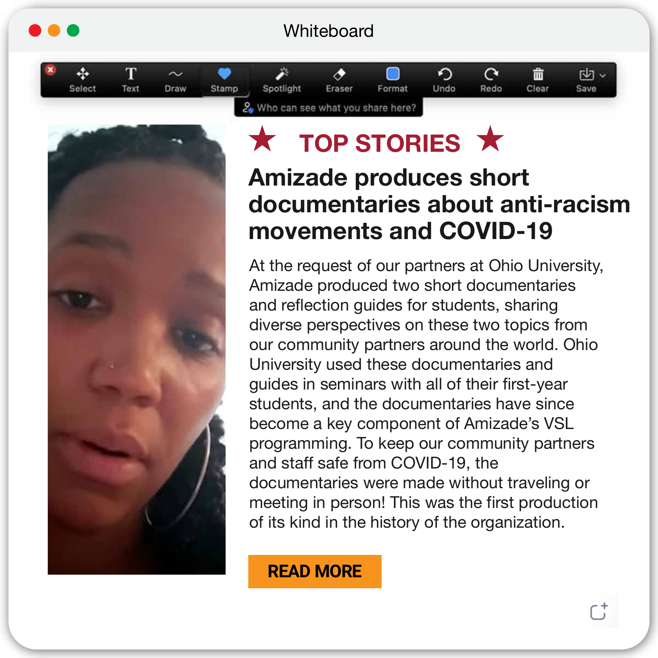#### **Whiteboard**





## **TOP STORIES X**

#### **Amizade produces short documentaries about anti-racism movements and COVID-19**

At the request of our partners at Ohio University, Amizade produced two short documentaries and reflection guides for students, sharing diverse perspectives on these two topics from our community partners around the world. Ohio University used these documentaries and guides in seminars with all of their first-year students, and the documentaries have since become a key component of Amizade's VSL programming. To keep our community partners and staff safe from COVID-19, the documentaries were made without traveling or meeting in person! This was the first production of its kind in the history of the organization.

**[READ MORE](https://bit.ly/3bBr9Ev)**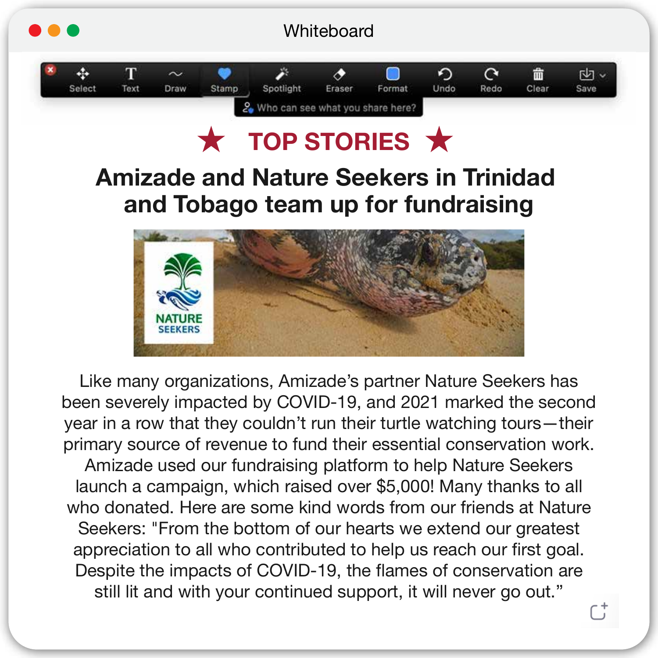

### **TOP STORIES**

#### **Amizade and Nature Seekers in Trinidad and Tobago team up for fundraising**



Like many organizations, Amizade's partner Nature Seekers has been severely impacted by COVID-19, and 2021 marked the second year in a row that they couldn't run their turtle watching tours—their primary source of revenue to fund their essential conservation work. Amizade used our fundraising platform to help Nature Seekers launch a campaign, which raised over \$5,000! Many thanks to all who donated. Here are some kind words from our friends at Nature Seekers: "From the bottom of our hearts we extend our greatest appreciation to all who contributed to help us reach our first goal. Despite the impacts of COVID-19, the flames of conservation are still lit and with your continued support, it will never go out."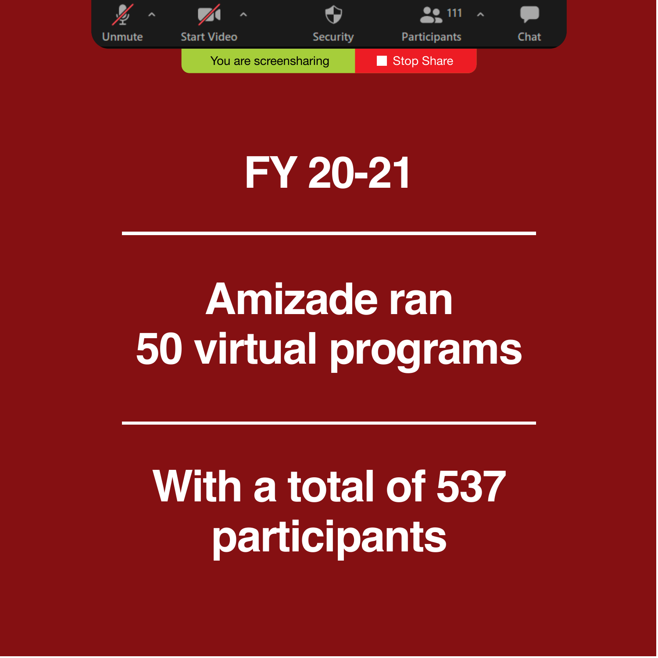

## **FY 20-21**

## **Amizade ran 50 virtual programs**

## **With a total of 537 participants**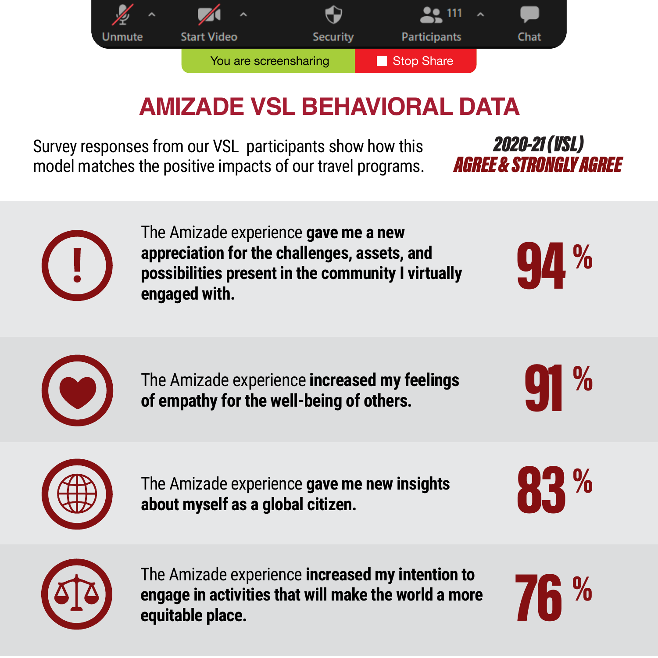

### **AMIZADE VSL BEHAVIORAL DATA**

Survey responses from our VSL participants show how this model matches the positive impacts of our travel programs. *AGRFF & STRONGLY AGRFF* **2020-21 (USL)** 



The Amizade experience **gave me a new appreciation for the challenges, assets, and possibilities present in the community I virtually engaged with.**





 The Amizade experience **increased my feelings of empathy for the well-being of others.**





The Amizade experience **gave me new insights about myself as a global citizen.**





The Amizade experience **increased my intention to engage in activities that will make the world a more equitable place.**

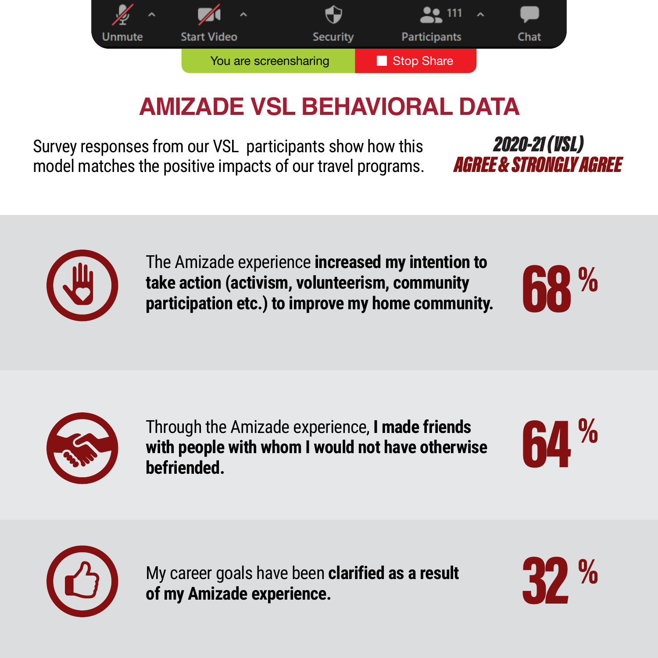

### **AMIZADE VSL BEHAVIORAL DATA**

Survey responses from our VSL participants show how this model matches the positive impacts of our travel programs. AGREE & STRONGLY AGREE **2020-21 (VSL)** 



The Amizade experience **increased my intention to take action (activism, volunteerism, community participation etc.) to improve my home community.**





Through the Amizade experience, **I made friends**<br>with people with whom I would not have otherwise<br>befriended. **with people with whom I would not have otherwise befriended.**

 $\frac{1}{2}$ 



My career goals have been **clarified as a result of my Amizade experience.**

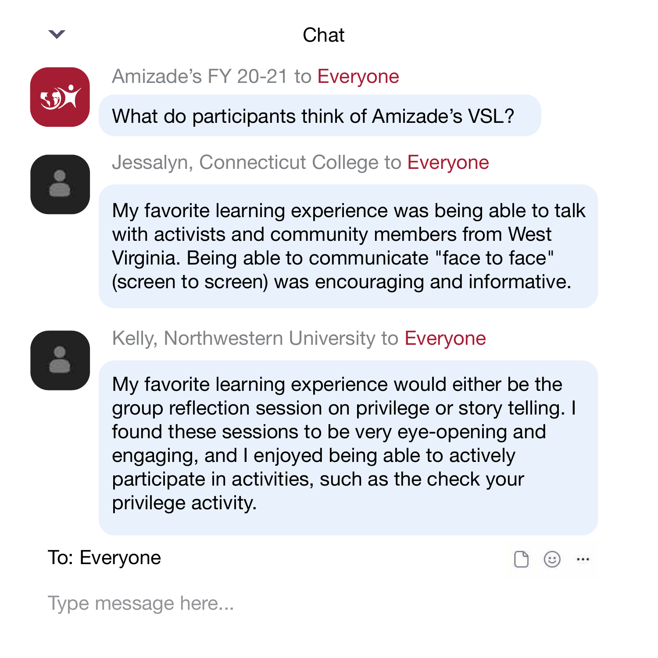



Amizade's FY 20-21 to Everyone

What do participants think of Amizade's VSL?



#### Jessalyn, Connecticut College to Everyone

My favorite learning experience was being able to talk with activists and community members from West Virginia. Being able to communicate "face to face" (screen to screen) was encouraging and informative.



#### Kelly, Northwestern University to Everyone

My favorite learning experience would either be the group reflection session on privilege or story telling. I found these sessions to be very eye-opening and engaging, and I enjoyed being able to actively participate in activities, such as the check your privilege activity.

To: Everyone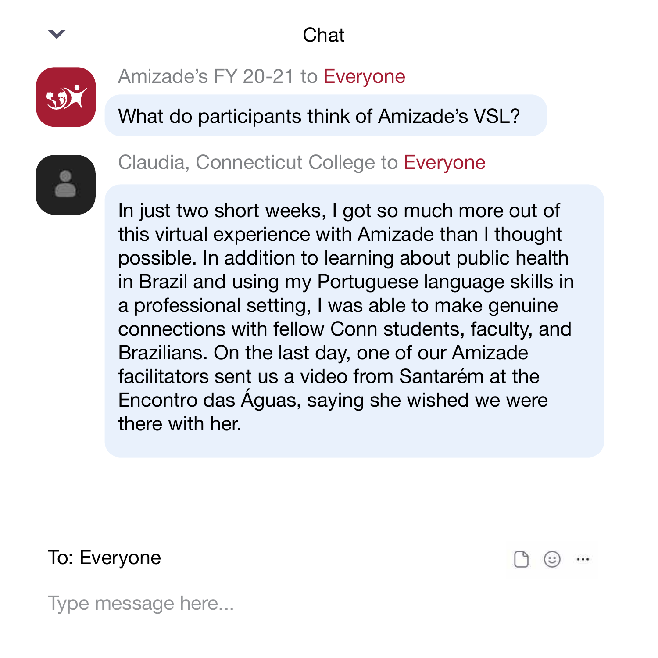



Amizade's FY 20-21 to Everyone

What do participants think of Amizade's VSL?



#### Claudia, Connecticut College to Everyone

In just two short weeks, I got so much more out of this virtual experience with Amizade than I thought possible. In addition to learning about public health in Brazil and using my Portuguese language skills in a professional setting, I was able to make genuine connections with fellow Conn students, faculty, and Brazilians. On the last day, one of our Amizade facilitators sent us a video from Santarém at the Encontro das Águas, saying she wished we were there with her.

To: Everyone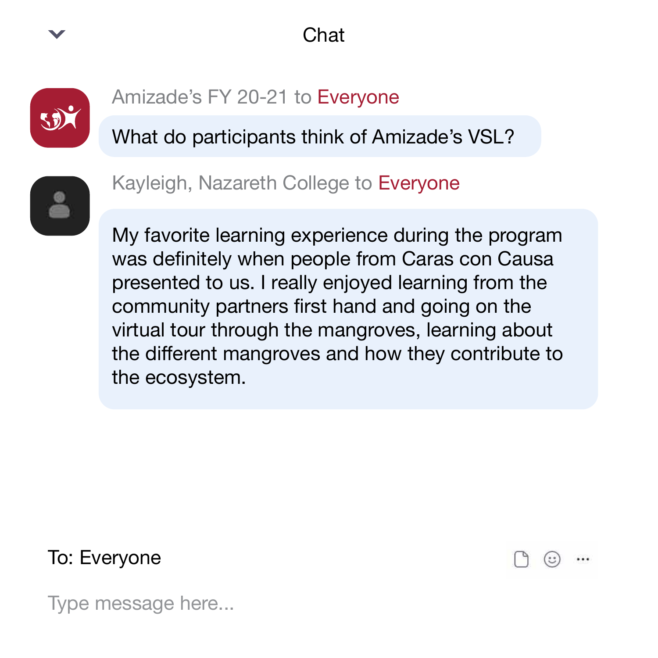#### Chat



#### Amizade's FY 20-21 to Everyone

What do participants think of Amizade's VSL?



Kayleigh, Nazareth College to Everyone

My favorite learning experience during the program was definitely when people from Caras con Causa presented to us. I really enjoyed learning from the community partners first hand and going on the virtual tour through the mangroves, learning about the different mangroves and how they contribute to the ecosystem.

To: Everyone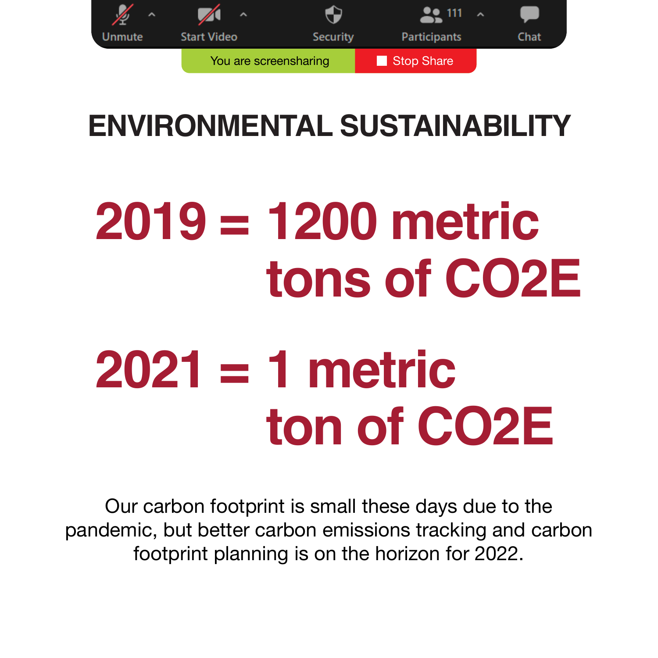

## **ENVIRONMENTAL SUSTAINABILITY**

# **2019 = 1200 metric tons of CO2E**

# **2021 = 1 metric ton of CO2E**

Our carbon footprint is small these days due to the pandemic, but better carbon emissions tracking and carbon footprint planning is on the horizon for 2022.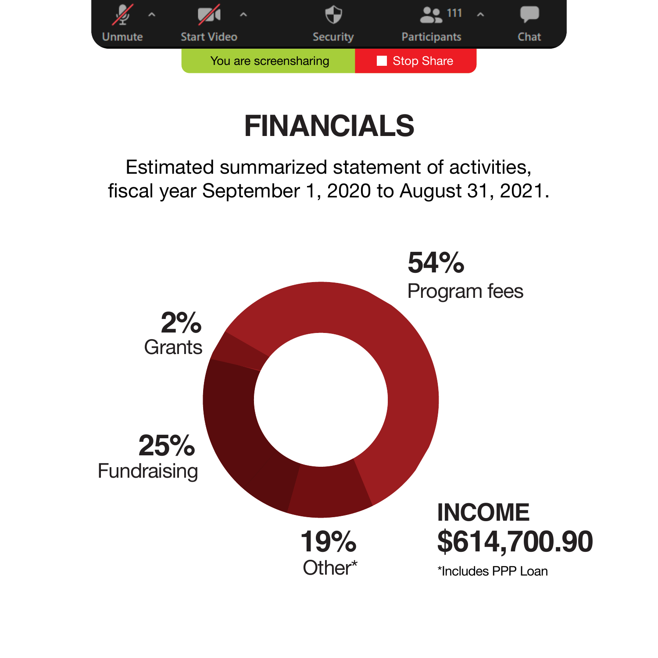

## **FINANCIALS**

Estimated summarized statement of activities, fiscal year September 1, 2020 to August 31, 2021.

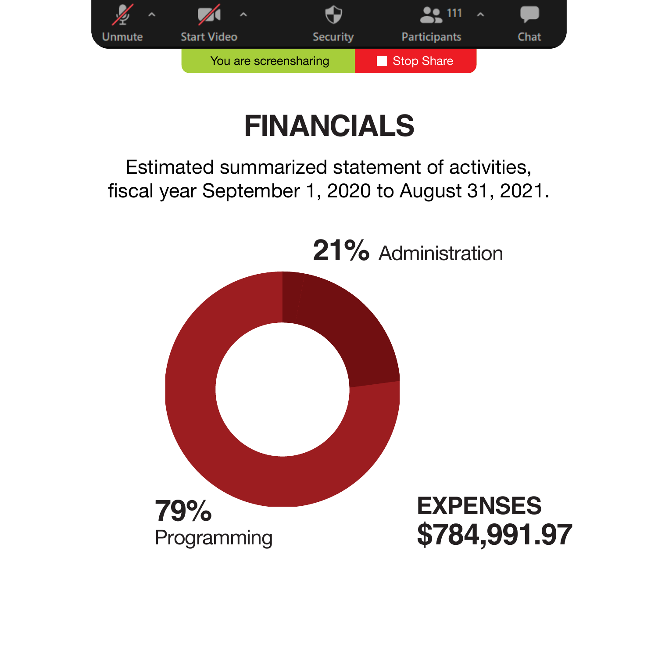

## **FINANCIALS**

Estimated summarized statement of activities, fiscal year September 1, 2020 to August 31, 2021.

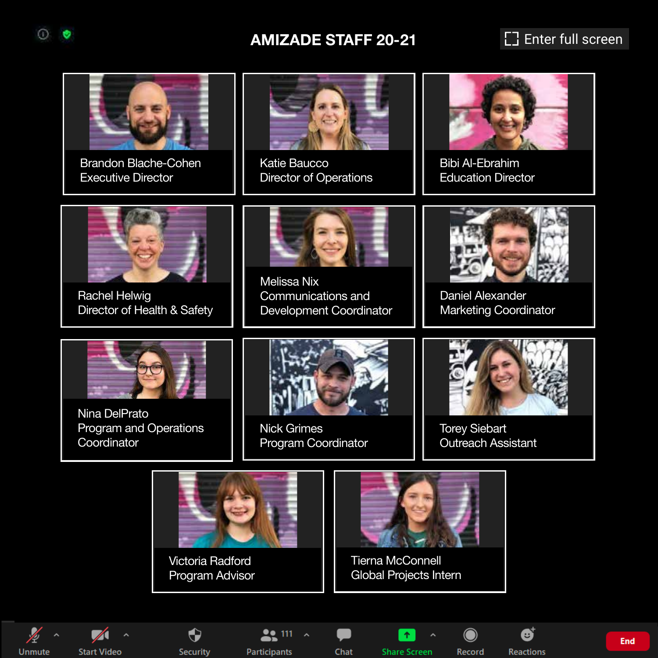#### **AMIZADE STAFF 20-21 Example 20-21** Enter full screen



Rachel Helwig Director of Health & Safety

Communications and Development Coordinator



Bibi Al-Ebrahim Education Director



Daniel Alexander Marketing Coordinator



Nina DelPrato Program and Operations **Coordinator** 



Nick Grimes Program Coordinator



Torey Siebart Outreach Assistant





Tierna McConnell Global Projects Intern



 $\Omega$ ø

**Start Video** 

Ф Security

 $22111$ Participants

Chat

**Share Screen** 

**Reactions Record** 

 $\bigcap$ 

❺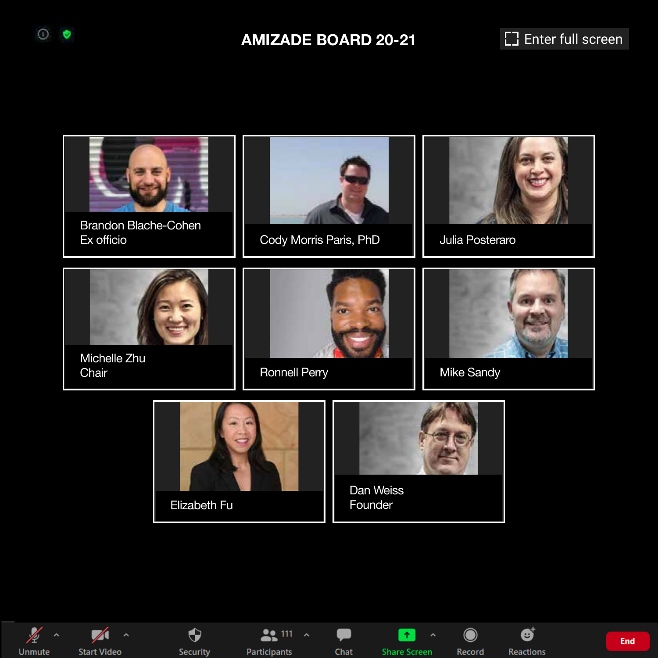

#### **AMIZADE BOARD 20-21 Example 1 Example 20-21 Example 20-21**



 $\frac{1}{2}$ Unmute



 $\bullet$ Security

 $22111 - 2$ Participants

Chat

 $\bullet$ 

**Share Screen** 

**Factor** 

 $\odot$ Record Ø

**Reactions** 

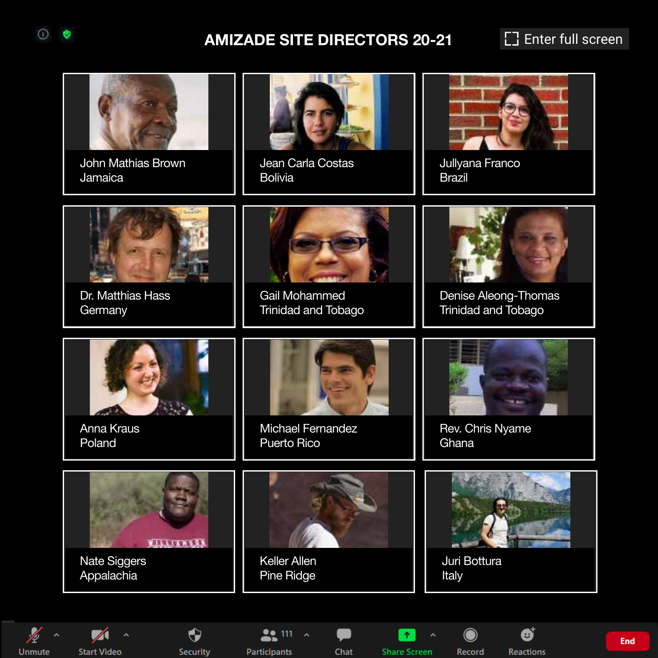#### **AMIZADE SITE DIRECTORS 20-21** [ ] Enter full screen

 $\odot$ ø



**End**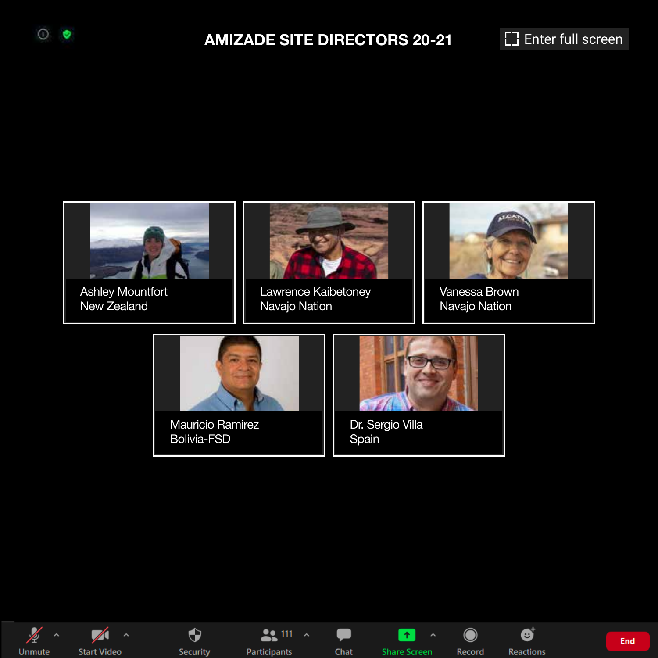#### **AMIZADE SITE DIRECTORS 20-21** [ ] Enter full screen







 $\bigodot$ Security

 $22111 - 2$ Participants

Chat

œ

**Share Screen** 

l a l